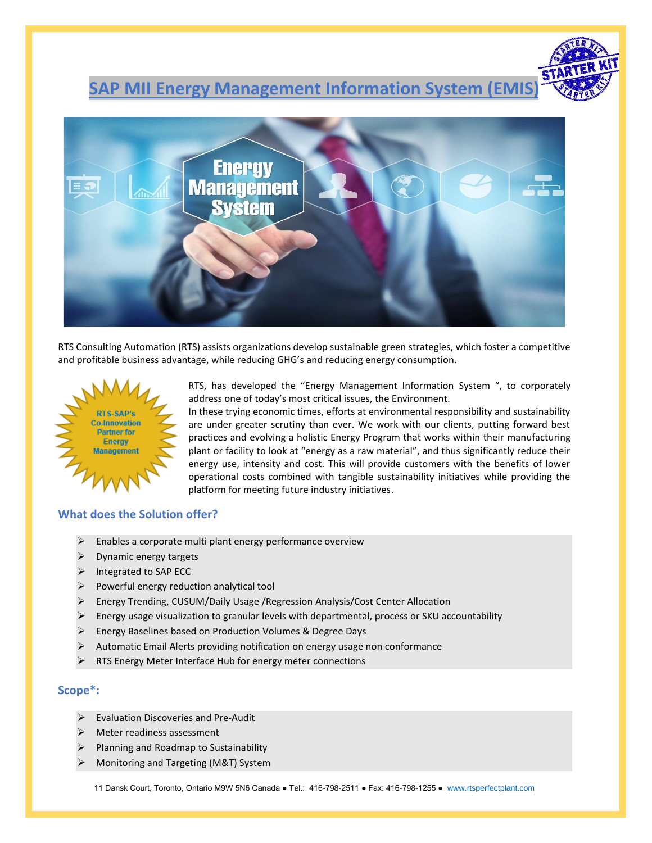# **SAP MII Energy Management Information System (EMIS)**



RTS Consulting Automation (RTS) assists organizations develop sustainable green strategies, which foster a competitive and profitable business advantage, while reducing GHG's and reducing energy consumption.



RTS, has developed the "Energy Management Information System ", to corporately address one of today's most critical issues, the Environment.

In these trying economic times, efforts at environmental responsibility and sustainability are under greater scrutiny than ever. We work with our clients, putting forward best practices and evolving a holistic Energy Program that works within their manufacturing plant or facility to look at "energy as a raw material", and thus significantly reduce their energy use, intensity and cost. This will provide customers with the benefits of lower operational costs combined with tangible sustainability initiatives while providing the platform for meeting future industry initiatives.

#### **What does the Solution offer?**

- $\triangleright$  Enables a corporate multi plant energy performance overview
- $\triangleright$  Dynamic energy targets
- ➢ Integrated to SAP ECC
- $\triangleright$  Powerful energy reduction analytical tool
- ➢ Energy Trending, CUSUM/Daily Usage /Regression Analysis/Cost Center Allocation
- ➢ Energy usage visualization to granular levels with departmental, process or SKU accountability
- ➢ Energy Baselines based on Production Volumes & Degree Days
- ➢ Automatic Email Alerts providing notification on energy usage non conformance
- RTS Energy Meter Interface Hub for energy meter connections

### **Scope\*:**

- ➢ Evaluation Discoveries and Pre‐Audit
- ➢ Meter readiness assessment
- ➢ Planning and Roadmap to Sustainability
- ➢ Monitoring and Targeting (M&T) System

11 Dansk Court, Toronto, Ontario M9W 5N6 Canada ● Tel.: 416-798-2511 ● Fax: 416-798-1255 ● [www.rtsperfectplant.com](http://www.rtsperfectplant.com/)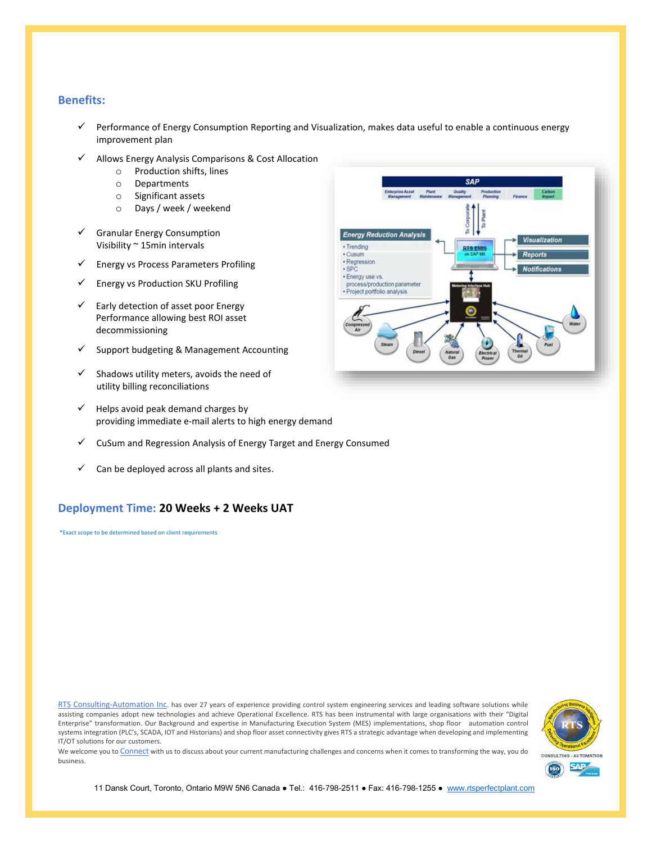#### **Benefits:**

- ✓ Performance of Energy Consumption Reporting and Visualization, makes data useful to enable a continuous energy improvement plan
- Allows Energy Analysis Comparisons & Cost Allocation
	- o Production shifts, lines
	- o Departments
	- o Significant assets
	- o Days / week / weekend
- Granular Energy Consumption Visibility ~ 15min intervals
- ✓ Energy vs Process Parameters Profiling
- ✓ Energy vs Production SKU Profiling
- $\checkmark$  Early detection of asset poor Energy Performance allowing best ROI asset decommissioning
- ✓ Support budgeting & Management Accounting
- $\checkmark$  Shadows utility meters, avoids the need of utility billing reconciliations
- $\checkmark$  Helps avoid peak demand charges by providing immediate e‐mail alerts to high energy demand
- ✓ CuSum and Regression Analysis of Energy Target and Energy Consumed
- Can be deployed across all plants and sites.

## **Deployment Time: 20 Weeks + 2 Weeks UAT**

\*Exact scope to be determined based on client requirements

[RTS Consulting-Automation Inc.](http://rtsperfectplant.com/) has over 27 years of experience providing control system engineering services and leading software solutions while assisting companies adopt new technologies and achieve Operational Excellence. RTS has been instrumental with large organisations with their "Digital Enterprise" transformation. Our Background and expertise in Manufacturing Execution System (MES) implementations, shop floor automation control systems integration (PLC's, SCADA, IOT and Historians) and shop floor asset connectivity gives RTS a strategic advantage when developing and implementing IT/OT solutions for our customers.



We welcome you to [Connect](mailto:info@rtsperfectplant.com) with us to discuss about your current manufacturing challenges and concerns when it comes to transforming the way, you do business.



11 Dansk Court, Toronto, Ontario M9W 5N6 Canada ● Tel.: 416-798-2511 ● Fax: 416-798-1255 ● [www.rtsperfectplant.com](http://www.rtsperfectplant.com/)